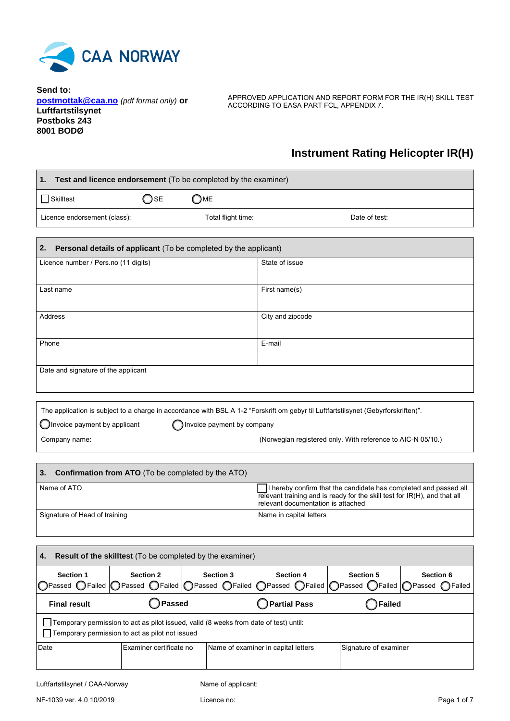

**Send to: [postmottak@caa.no](mailto:postmottak@caa.no)** *(pdf format only)* **or Luftfartstilsynet Postboks 243 8001 BODØ**

APPROVED APPLICATION AND REPORT FORM FOR THE IR(H) SKILL TEST ACCORDING TO EASA PART FCL, APPENDIX 7.

## **Instrument Rating Helicopter IR(H)**

| Test and licence endorsement (To be completed by the examiner)<br>1. |                                                                                                                                          |                                |                                                                                                                                                                                     |                                       |                             |
|----------------------------------------------------------------------|------------------------------------------------------------------------------------------------------------------------------------------|--------------------------------|-------------------------------------------------------------------------------------------------------------------------------------------------------------------------------------|---------------------------------------|-----------------------------|
| Skilltest                                                            | $\supset$ se                                                                                                                             | ME                             |                                                                                                                                                                                     |                                       |                             |
| Licence endorsement (class):                                         |                                                                                                                                          | Total flight time:             |                                                                                                                                                                                     | Date of test:                         |                             |
|                                                                      |                                                                                                                                          |                                |                                                                                                                                                                                     |                                       |                             |
| 2.                                                                   | Personal details of applicant (To be completed by the applicant)                                                                         |                                |                                                                                                                                                                                     |                                       |                             |
| Licence number / Pers.no (11 digits)                                 |                                                                                                                                          |                                | State of issue                                                                                                                                                                      |                                       |                             |
| Last name                                                            |                                                                                                                                          |                                | First name(s)                                                                                                                                                                       |                                       |                             |
| Address                                                              |                                                                                                                                          |                                | City and zipcode                                                                                                                                                                    |                                       |                             |
| Phone                                                                |                                                                                                                                          |                                | E-mail                                                                                                                                                                              |                                       |                             |
| Date and signature of the applicant                                  |                                                                                                                                          |                                |                                                                                                                                                                                     |                                       |                             |
|                                                                      |                                                                                                                                          |                                |                                                                                                                                                                                     |                                       |                             |
|                                                                      | The application is subject to a charge in accordance with BSL A 1-2 "Forskrift om gebyr til Luftfartstilsynet (Gebyrforskriften)".       |                                |                                                                                                                                                                                     |                                       |                             |
| Invoice payment by applicant                                         |                                                                                                                                          | Invoice payment by company     |                                                                                                                                                                                     |                                       |                             |
| Company name:                                                        |                                                                                                                                          |                                | (Norwegian registered only. With reference to AIC-N 05/10.)                                                                                                                         |                                       |                             |
|                                                                      |                                                                                                                                          |                                |                                                                                                                                                                                     |                                       |                             |
| 3.                                                                   | <b>Confirmation from ATO</b> (To be completed by the ATO)                                                                                |                                |                                                                                                                                                                                     |                                       |                             |
| Name of ATO                                                          |                                                                                                                                          |                                | I hereby confirm that the candidate has completed and passed all<br>relevant training and is ready for the skill test for IR(H), and that all<br>relevant documentation is attached |                                       |                             |
| Signature of Head of training                                        |                                                                                                                                          |                                | Name in capital letters                                                                                                                                                             |                                       |                             |
|                                                                      |                                                                                                                                          |                                |                                                                                                                                                                                     |                                       |                             |
| 4.                                                                   | Result of the skilltest (To be completed by the examiner)                                                                                |                                |                                                                                                                                                                                     |                                       |                             |
| Section 1<br>◯Passed ◯ Failed                                        | Section 2<br>Passed CFailed<br>Passed                                                                                                    | Section 3<br>$\bigcirc$ Failed | Section 4<br>Passed OFailed                                                                                                                                                         | <b>Section 5</b><br>◯Passed<br>Failed | Section 6<br>Passed CFailed |
| <b>Final result</b>                                                  | Passed                                                                                                                                   |                                | <b>Partial Pass</b>                                                                                                                                                                 | <b>Failed</b>                         |                             |
|                                                                      | Temporary permission to act as pilot issued, valid (8 weeks from date of test) until:<br>Temporary permission to act as pilot not issued |                                |                                                                                                                                                                                     |                                       |                             |
| Date                                                                 | Examiner certificate no                                                                                                                  |                                | Name of examiner in capital letters                                                                                                                                                 | Signature of examiner                 |                             |
|                                                                      |                                                                                                                                          |                                |                                                                                                                                                                                     |                                       |                             |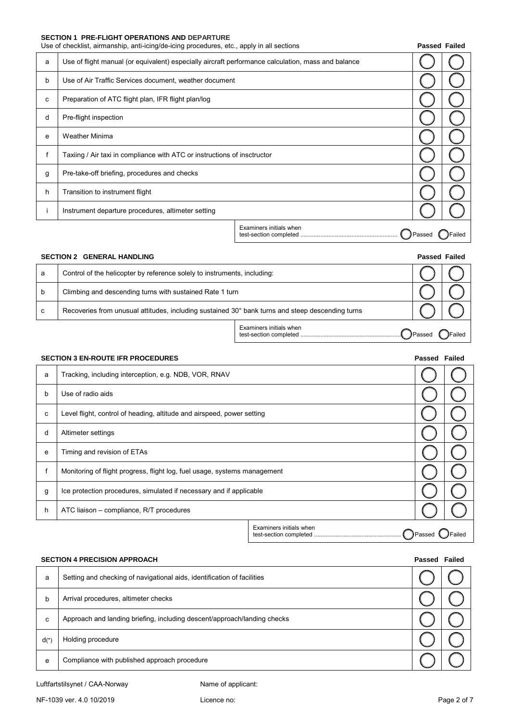#### **SECTION 1 PRE-FLIGHT OPERATIONS AND DEPARTURE**

|   | Use of checklist, airmanship, anti-icing/de-icing procedures, etc., apply in all sections          |                         |        | <b>Passed Failed</b> |
|---|----------------------------------------------------------------------------------------------------|-------------------------|--------|----------------------|
| a | Use of flight manual (or equivalent) especially aircraft performance calculation, mass and balance |                         |        |                      |
| b | Use of Air Traffic Services document, weather document                                             |                         |        |                      |
| c | Preparation of ATC flight plan, IFR flight plan/log                                                |                         |        |                      |
| d | Pre-flight inspection                                                                              |                         |        |                      |
| e | <b>Weather Minima</b>                                                                              |                         |        |                      |
|   | Taxiing / Air taxi in compliance with ATC or instructions of insctructor                           |                         |        |                      |
| g | Pre-take-off briefing, procedures and checks                                                       |                         |        |                      |
| h | Transition to instrument flight                                                                    |                         |        |                      |
|   | Instrument departure procedures, altimeter setting                                                 |                         |        |                      |
|   |                                                                                                    | Examiners initials when | Passed | Failed               |

| <b>SECTION 2 GENERAL HANDLING</b> |                                                                                                  |                         |               | <b>Passed Failed</b> |
|-----------------------------------|--------------------------------------------------------------------------------------------------|-------------------------|---------------|----------------------|
| a                                 | Control of the helicopter by reference solely to instruments, including:                         |                         |               |                      |
| b                                 | Climbing and descending turns with sustained Rate 1 turn                                         |                         |               |                      |
| C                                 | Recoveries from unusual attitudes, including sustained 30° bank turns and steep descending turns |                         |               |                      |
|                                   |                                                                                                  | Examiners initials when | <b>Passed</b> | Failed               |

# **SECTION 3 EN-ROUTE IFR PROCEDURES Passed Failed** a Tracking, including interception, e.g. NDB, VOR, RNAV b Use of radio aids c Level flight, control of heading, altitude and airspeed, power setting d Altimeter settings e Timing and revision of ETAs f Monitoring of flight progress, flight log, fuel usage, systems management g | Ice protection procedures, simulated if necessary and if applicable h | ATC liaison – compliance, R/T procedures Examiners initials when test-section completed ..................................................... Passed Failed

### **SECTION 4 PRECISION APPROACH Passed Failed**

| a      | Setting and checking of navigational aids, identification of facilities  |  |
|--------|--------------------------------------------------------------------------|--|
| b      | Arrival procedures, altimeter checks                                     |  |
| c      | Approach and landing briefing, including descent/approach/landing checks |  |
| $d(*)$ | Holding procedure                                                        |  |
| e      | Compliance with published approach procedure                             |  |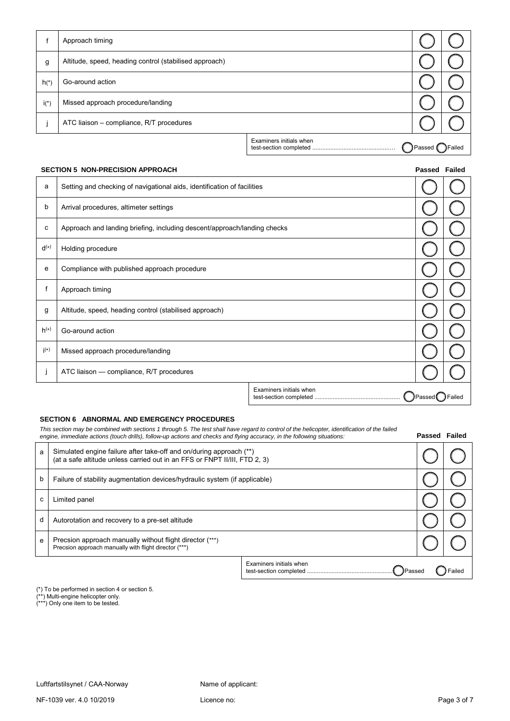|        | Approach timing                                        |                         |        |        |
|--------|--------------------------------------------------------|-------------------------|--------|--------|
| g      | Altitude, speed, heading control (stabilised approach) |                         |        |        |
| $h(*)$ | Go-around action                                       |                         |        |        |
| $i(*)$ | Missed approach procedure/landing                      |                         |        |        |
|        | ATC liaison - compliance, R/T procedures               |                         |        |        |
|        |                                                        | Examiners initials when | Passed | Failed |

### **SECTION 5 NON-PRECISION APPROACH Passed Failed**

| a                  | Setting and checking of navigational aids, identification of facilities  |                         |                  |        |
|--------------------|--------------------------------------------------------------------------|-------------------------|------------------|--------|
| b                  | Arrival procedures, altimeter settings                                   |                         |                  |        |
| с                  | Approach and landing briefing, including descent/approach/landing checks |                         |                  |        |
| $d^{(*)}$          | Holding procedure                                                        |                         |                  |        |
| e                  | Compliance with published approach procedure                             |                         |                  |        |
| f                  | Approach timing                                                          |                         |                  |        |
| g                  | Altitude, speed, heading control (stabilised approach)                   |                         |                  |        |
| $h^{(*)}$          | Go-around action                                                         |                         |                  |        |
| $\mathsf{i}^{(*)}$ | Missed approach procedure/landing                                        |                         |                  |        |
|                    | ATC liaison - compliance, R/T procedures                                 |                         |                  |        |
|                    |                                                                          | Examiners initials when | JPassed <b>(</b> | Failed |

#### **SECTION 6 ABNORMAL AND EMERGENCY PROCEDURES**

This section may be combined with sections 1 through 5. The test shall have regard to control of the helicopter, identification of the failed<br>engine, immediate actions (touch drills), follow-up actions and checks and flyin

| a | Simulated engine failure after take-off and on/during approach (**)<br>(at a safe altitude unless carried out in an FFS or FNPT II/III, FTD 2, 3) |                                          |        |
|---|---------------------------------------------------------------------------------------------------------------------------------------------------|------------------------------------------|--------|
| b | Failure of stability augmentation devices/hydraulic system (if applicable)                                                                        |                                          |        |
| c | Limited panel                                                                                                                                     |                                          |        |
| d | Autorotation and recovery to a pre-set altitude                                                                                                   |                                          |        |
| e | Precsion approach manually without flight director (***)<br>Precsion approach manually with flight director (***)                                 |                                          |        |
|   |                                                                                                                                                   | Examiners initials when<br><b>Passed</b> | ∃ailed |

(\*) To be performed in section 4 or section 5.

(\*\*) Multi-engine helicopter only.

(\*\*\*) Only one item to be tested.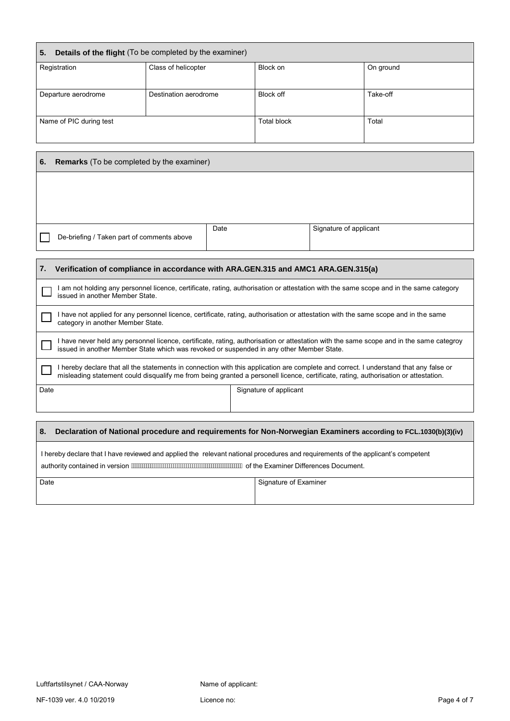| Details of the flight (To be completed by the examiner)<br>5. |                       |                    |           |  |  |
|---------------------------------------------------------------|-----------------------|--------------------|-----------|--|--|
| Registration                                                  | Class of helicopter   | Block on           | On ground |  |  |
| Departure aerodrome                                           | Destination aerodrome | Block off          | Take-off  |  |  |
| Name of PIC during test                                       |                       | <b>Total block</b> | Total     |  |  |

| 6. | <b>Remarks</b> (To be completed by the examiner) |      |                        |  |
|----|--------------------------------------------------|------|------------------------|--|
|    |                                                  |      |                        |  |
|    |                                                  |      |                        |  |
|    |                                                  |      |                        |  |
|    | De-briefing / Taken part of comments above       | Date | Signature of applicant |  |

# **7. Verification of compliance in accordance with ARA.GEN.315 and AMC1 ARA.GEN.315(a)** I am not holding any personnel licence, certificate, rating, authorisation or attestation with the same scope and in the same category issued in another Member State. I have not applied for any personnel licence, certificate, rating, authorisation or attestation with the same scope and in the same category in another Member State. I have never held any personnel licence, certificate, rating, authorisation or attestation with the same scope and in the same categroy issued in another Member State which was revoked or suspended in any other Member State. I hereby declare that all the statements in connection with this application are complete and correct. I understand that any false or misleading statement could disqualify me from being granted a personell licence, certificate, rating, authorisation or attestation. Date Signature of applicant **8. Declaration of National procedure and requirements for Non-Norwegian Examiners according to FCL.1030(b)(3)(iv)** I hereby declare that I have reviewed and applied the relevant national procedures and requirements of the applicant's competent authority contained in version *i Wi Wi Wi Wi Wi Wi Wi Wi Wi Wi Wi Wi* Wi Wi Wi Yo the Examiner Differences Document.

| Date | Signature of Examiner |
|------|-----------------------|
|      |                       |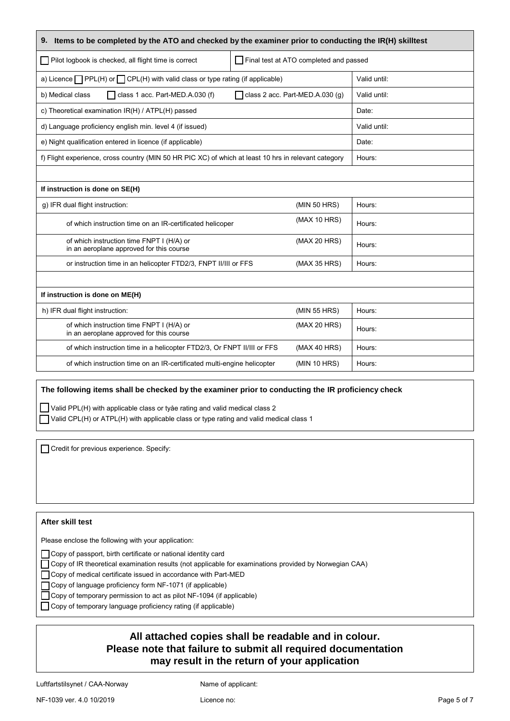| Items to be completed by the ATO and checked by the examiner prior to conducting the IR(H) skilltest<br>9. |                                        |              |  |  |
|------------------------------------------------------------------------------------------------------------|----------------------------------------|--------------|--|--|
| Pilot logbook is checked, all flight time is correct                                                       | Final test at ATO completed and passed |              |  |  |
| a) Licence $\Box$ PPL(H) or $\Box$ CPL(H) with valid class or type rating (if applicable)                  |                                        | Valid until: |  |  |
| class 1 acc. Part-MED.A.030 (f)<br>b) Medical class                                                        | $\Box$ class 2 acc. Part-MED.A.030 (g) | Valid until: |  |  |
| c) Theoretical examination IR(H) / ATPL(H) passed                                                          |                                        | Date:        |  |  |
| d) Language proficiency english min. level 4 (if issued)                                                   |                                        | Valid until: |  |  |
| e) Night qualification entered in licence (if applicable)                                                  |                                        | Date:        |  |  |
| f) Flight experience, cross country (MIN 50 HR PIC XC) of which at least 10 hrs in relevant category       |                                        | Hours:       |  |  |
|                                                                                                            |                                        |              |  |  |
| If instruction is done on SE(H)                                                                            |                                        |              |  |  |
| g) IFR dual flight instruction:                                                                            | (MIN 50 HRS)                           | Hours:       |  |  |
| of which instruction time on an IR-certificated helicoper                                                  | (MAX 10 HRS)                           | Hours:       |  |  |
| of which instruction time FNPT I (H/A) or<br>in an aeroplane approved for this course                      | (MAX 20 HRS)                           | Hours:       |  |  |
| or instruction time in an helicopter FTD2/3, FNPT II/III or FFS                                            | (MAX 35 HRS)                           | Hours:       |  |  |
|                                                                                                            |                                        |              |  |  |
| If instruction is done on ME(H)                                                                            |                                        |              |  |  |
| h) IFR dual flight instruction:                                                                            | (MIN 55 HRS)                           | Hours:       |  |  |
| of which instruction time FNPT I (H/A) or<br>in an aeroplane approved for this course                      | (MAX 20 HRS)                           | Hours:       |  |  |
| of which instruction time in a helicopter FTD2/3, Or FNPT II/III or FFS                                    | (MAX 40 HRS)                           | Hours:       |  |  |
| of which instruction time on an IR-certificated multi-engine helicopter                                    | (MIN 10 HRS)                           | Hours:       |  |  |

### **The following items shall be checked by the examiner prior to conducting the IR proficiency check**

Valid PPL(H) with applicable class or tyåe rating and valid medical class 2 Valid CPL(H) or ATPL(H) with applicable class or type rating and valid medical class 1

Credit for previous experience. Specify:

### **After skill test**

Please enclose the following with your application:

Copy of passport, birth certificate or national identity card

Copy of IR theoretical examination results (not applicable for examinations provided by Norwegian CAA)

Copy of medical certificate issued in accordance with Part-MED

Copy of language proficiency form NF-1071 (if applicable)

□ Copy of temporary permission to act as pilot NF-1094 (if applicable)

Copy of temporary language proficiency rating (if applicable)

## **All attached copies shall be readable and in colour. Please note that failure to submit all required documentation may result in the return of your application**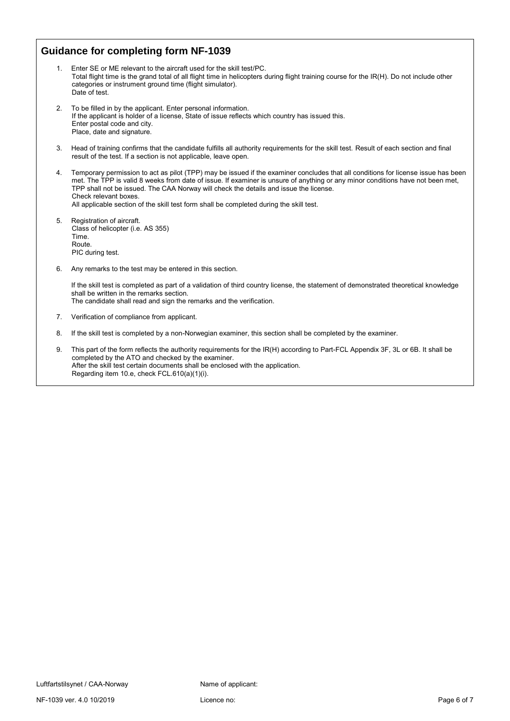## **Guidance for completing form NF-1039**

- 1. Enter SE or ME relevant to the aircraft used for the skill test/PC. Total flight time is the grand total of all flight time in helicopters during flight training course for the IR(H). Do not include other categories or instrument ground time (flight simulator). Date of test.
- 2. To be filled in by the applicant. Enter personal information. If the applicant is holder of a license, State of issue reflects which country has issued this. Enter postal code and city. Place, date and signature.
- 3. Head of training confirms that the candidate fulfills all authority requirements for the skill test. Result of each section and final result of the test. If a section is not applicable, leave open.
- 4. Temporary permission to act as pilot (TPP) may be issued if the examiner concludes that all conditions for license issue has been met. The TPP is valid 8 weeks from date of issue. If examiner is unsure of anything or any minor conditions have not been met, TPP shall not be issued. The CAA Norway will check the details and issue the license. Check relevant boxes. All applicable section of the skill test form shall be completed during the skill test.
- 5. Registration of aircraft. Class of helicopter (i.e. AS 355) Time. Route. PIC during test.
- 6. Any remarks to the test may be entered in this section.

If the skill test is completed as part of a validation of third country license, the statement of demonstrated theoretical knowledge shall be written in the remarks section. The candidate shall read and sign the remarks and the verification.

- 7. Verification of compliance from applicant.
- 8. If the skill test is completed by a non-Norwegian examiner, this section shall be completed by the examiner.
- 9. This part of the form reflects the authority requirements for the IR(H) according to Part-FCL Appendix 3F, 3L or 6B. It shall be completed by the ATO and checked by the examiner. After the skill test certain documents shall be enclosed with the application. Regarding item 10.e, check FCL.610(a)(1)(i).